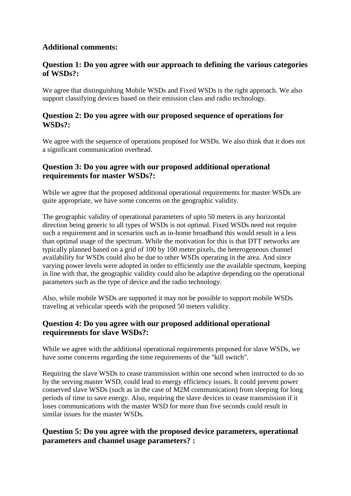#### **Additional comments:**

## **Question 1: Do you agree with our approach to defining the various categories of WSDs?:**

We agree that distinguishing Mobile WSDs and Fixed WSDs is the right approach. We also support classifying devices based on their emission class and radio technology.

#### **Question 2: Do you agree with our proposed sequence of operations for WSDs?:**

We agree with the sequence of operations proposed for WSDs. We also think that it does not a significant communication overhead.

## **Question 3: Do you agree with our proposed additional operational requirements for master WSDs?:**

While we agree that the proposed additional operational requirements for master WSDs are quite appropriate, we have some concerns on the geographic validity.

The geographic validity of operational parameters of upto 50 meters in any horizontal direction being generic to all types of WSDs is not optimal. Fixed WSDs need not require such a requirement and in scenarios such as in-home broadband this would result in a less than optimal usage of the spectrum. While the motivation for this is that DTT networks are typically planned based on a grid of 100 by 100 meter pixels, the heterogeneous channel availability for WSDs could also be due to other WSDs operating in the area. And since varying power levels were adopted in order to efficiently use the available spectrum, keeping in line with that, the geographic validity could also be adaptive depending on the operational parameters such as the type of device and the radio technology.

Also, while mobile WSDs are supported it may not be possible to support mobile WSDs traveling at vehicular speeds with the proposed 50 meters validity.

## **Question 4: Do you agree with our proposed additional operational requirements for slave WSDs?:**

While we agree with the additional operational requirements proposed for slave WSDs, we have some concerns regarding the time requirements of the "kill switch".

Requiring the slave WSDs to cease transmission within one second when instructed to do so by the serving master WSD, could lead to energy efficiency issues. It could prevent power conserved slave WSDs (such as in the case of M2M communication) from sleeping for long periods of time to save energy. Also, requiring the slave devices to cease transmission if it loses communications with the master WSD for more than five seconds could result in similar issues for the master WSDs.

## **Question 5: Do you agree with the proposed device parameters, operational parameters and channel usage parameters? :**